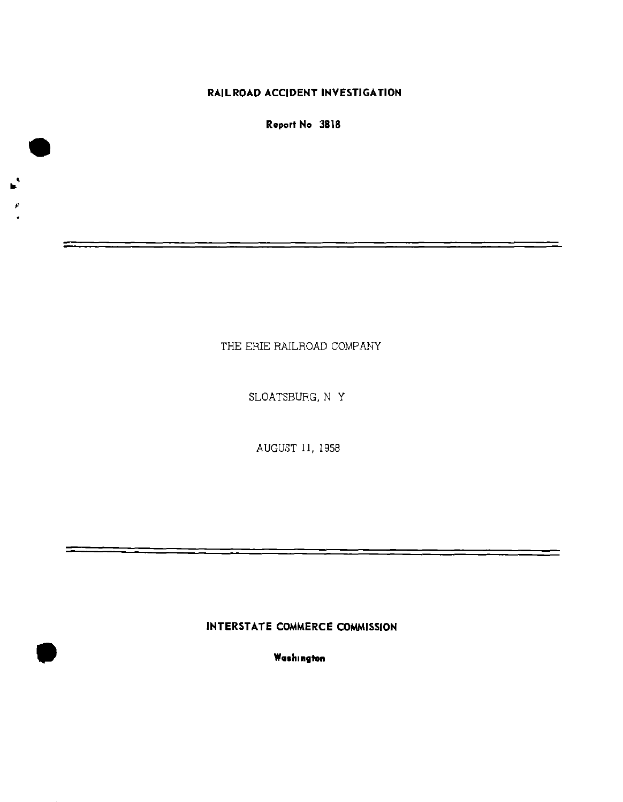## **RAILROAD ACCIDENT INVESTIGATION**

**Report No 3818** 

 $\mathbf{r}^*$ 

THE ERIE RAILROAD COMPANY

SLOATSBURG, N Y

AUGUST 11, 1958

# **INTERSTATE COMMERCE COMMISSION**

**Washington**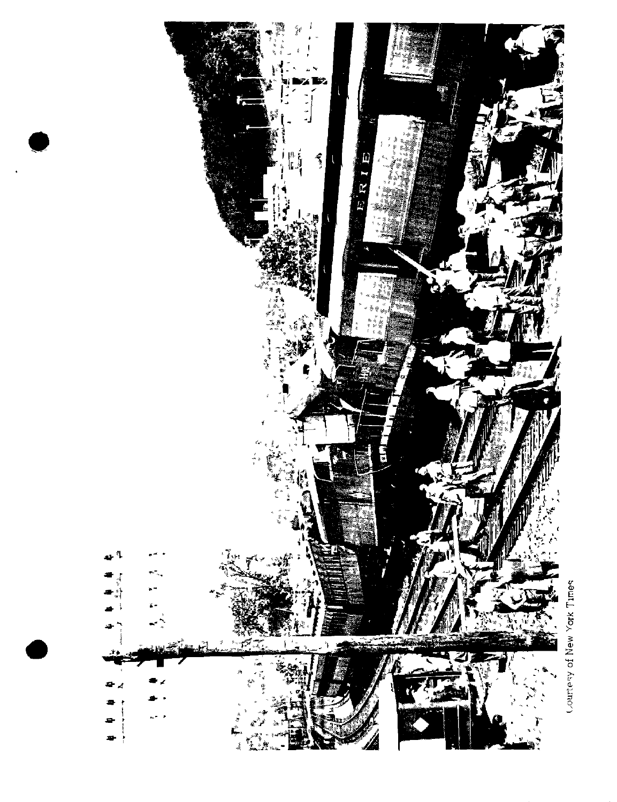

Courtesy of New York Times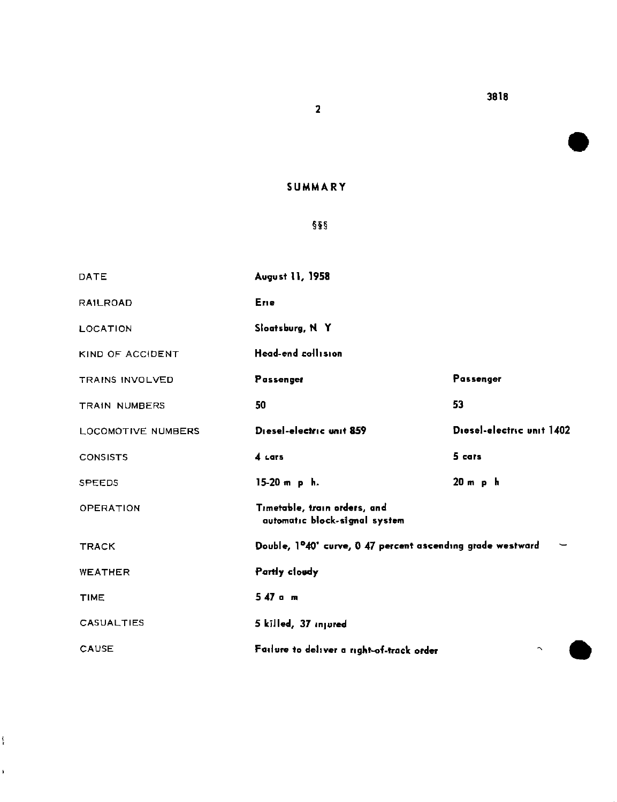**SUMMAR Y** 

 $\overline{\mathbf{2}}$ 

## **§§§**

| DATE                   | August 11, 1958                                                         |                           |
|------------------------|-------------------------------------------------------------------------|---------------------------|
| <b>RAILROAD</b>        | Erre                                                                    |                           |
| <b>LOCATION</b>        | Sloatsburg, N Y                                                         |                           |
| KIND OF ACCIDENT       | Head-end collision                                                      |                           |
| <b>TRAINS INVOLVED</b> | Passenger                                                               | Passenger                 |
| <b>TRAIN NUMBERS</b>   | 50                                                                      | 53                        |
| LOCOMOTIVE NUMBERS     | Diesel-electric unit 859                                                | Diesel-electric unit 1402 |
| <b>CONSISTS</b>        | 4 Lars                                                                  | 5 cars                    |
| <b>SPEEDS</b>          | $15-20$ m $p$ h.                                                        | 20 m p h                  |
| <b>OPERATION</b>       | Timetable, train orders, and<br>automatic block-signal system           |                           |
| <b>TRACK</b>           | Double, 1 <sup>0</sup> 40' curve, 0 47 percent ascending grade westward |                           |
| <b>WEATHER</b>         | Partly cloudy                                                           |                           |
| <b>TIME</b>            | 547 а л                                                                 |                           |
| <b>CASUALTIES</b>      | 5 killed, 37 injured                                                    |                           |
| CAUSE                  | Failure to deliver a right-of-track order                               | $\sim$                    |

*i* 

í.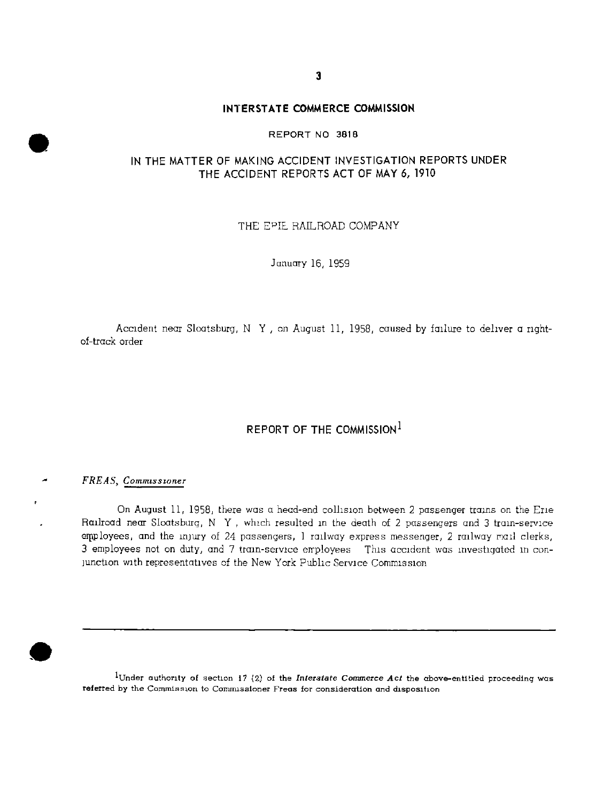**3** 

## **INTERSTATE COMMERCE COMMISSION**

### **REPORT NO 3818**

## IN THE MATTER OF MAKING ACCIDENT INVESTIGATION REPORTS UNDER **T H E ACCIDEN T REPORT S ACT OF MAY 6, 1910**

THE EPIE RAILROAD COMPANY

January 16, 1959

Accident near Sloatsburg, N Y , on August 11, 1958, caused by failure to deliver a nghtof-track order

## **REPORT OF THE COMMISSION**

## *FREAS, Commissioner*

On August 11, 1958, there was a head-end collision between 2 passenger trains on the Erie Railroad near Sloatsburg, N Y, which resulted in the death of 2 passengers and 3 train-service employees, and the injury of 24 passengers, 1 railway express messenger, 2 railway mail clerks, 3 employees not on duty, and 7 train-service employees This accident was investigated in conjunction with representatives of the New York Public Service Commission

**^Under authority of section 17 (2) of the** *Interstate Commerce Act* **the above-entitled proceeding was referred by the Commission to Commissioner Freas for consideration and disposition**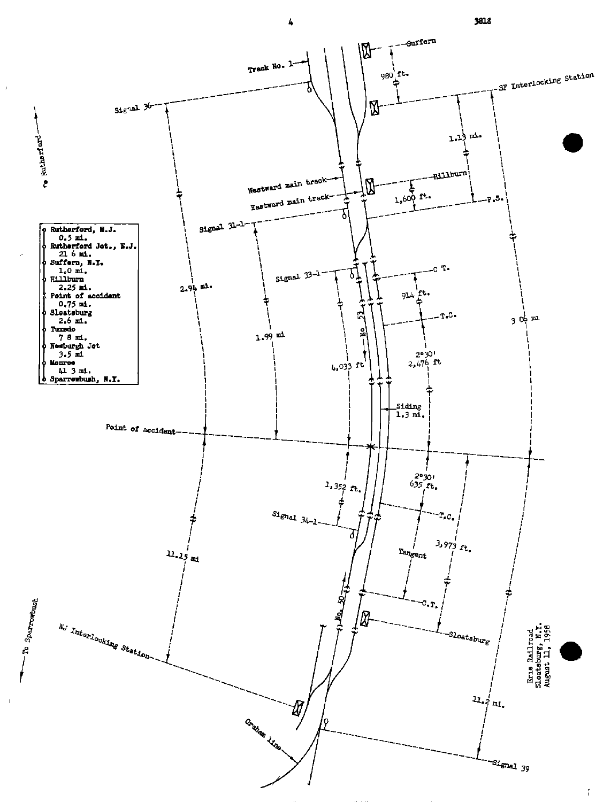

 $\mathbf{r}$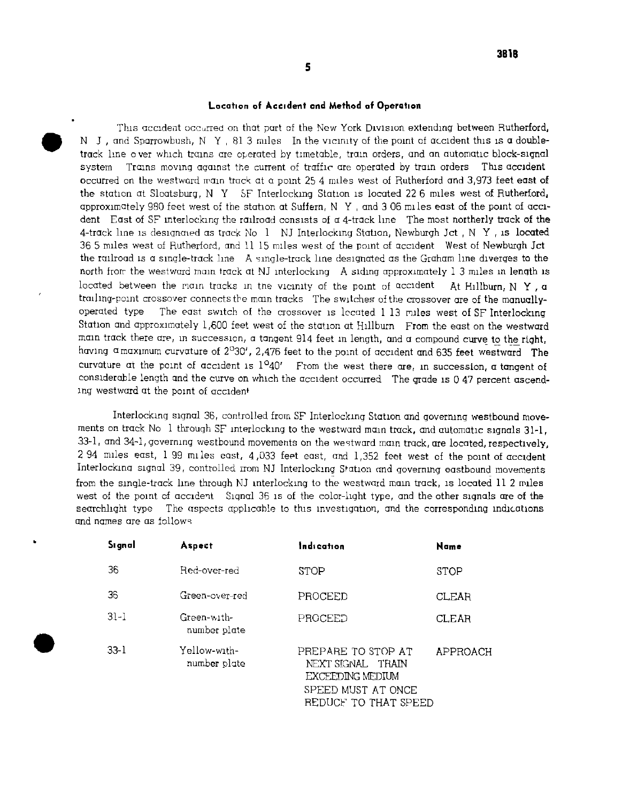### **Location of Accident end Method of Operation**

This accident occurred on that part of the New York Division extending between Rutherford, N J, and Sparrowbush, N Y, 81.3 miles In the vicinity of the point of accident this is a doubletrack line over which trains are operated by timetable, train orders, and an automatic block-signal system Trains moving against the current of traffic are operated by train orders This accident occurred on the westward main track at a point 25 4 miles west of Rutherford and 3,973 feet east **of**  the station at Sloatsburg, N Y SF Interlocking Station is located 22 6 miles west **of** Rutherfordj approximately 980 feet west of the station at Suifern, N Y , and 3 06 mile s east of the point of accident East of SF interlocking the railroad consists of a 4-track line The most northerly track **of** the 4-track line is designaied as track No 1 NJ Interlocking Station, Newburgh Jct , N Y , is located 36 5 miles west of Rutherford, and 11 15 miles west of the point of accident West of Newburgh Jet the railroad is a single-track line A single-track line designated as the Graham line diverges to the north frorr the westward main track at NJ interlocking A siding approximately 1 3 miles in length is located between the main tracks in the vicinity of the point of accident  $\,$  At Hillburn, N  $\,$  Y ,  $\,$  a traihng-point crossover connects the mam tracks The switches of the crossover are of the manuallyoperated type The east switch of the crossover is located 1 13 miles west of SF Interlocking Station and approximately 1,600 feet west of the station at Hillburn From the east on the westward main track there are, in succession, a tangent 914 feet in length, and a compound curve **to** the right, having a maximum curvature of  $2^{\circ}30^{\prime}$ , 2,476 feet to the point of accident and 635 feet westward The curvature at the point of accident is 1°40' From the west there are, in succession, a tangent **of**  considerable length and the curve on which the accident occurred The grade is 0 47 percent ascending westward at the point of accident

Interlocking signal 36, controlled from SF Interlocking Station and governing westbound movements on track No 1 through SF interlocking to the westward main track, and automatic signals 31-1, 33-1, and 34-1, governing westbound movements on the westward mam track, are located, respectively,  $2.94$  miles east,  $1.99$  miles east,  $4.033$  feet east, and  $1.352$  feet west of the point of accident Interlocking signal 39, controlled irom NJ Interlocking Station and governing eastbound movements from the single-track line through NJ interlocking to the westward mam track, is located 11 2 miles west of the point cf accident Signal 36 is of the color-light type, and the other signals are of the searchlight type The aspects applicable to this investigation, and the corresponding indications and names are as follows

| Signal   | Aspect                       | Indication                                                                                                | Name        |
|----------|------------------------------|-----------------------------------------------------------------------------------------------------------|-------------|
| 36       | Red-over-red                 | STOP                                                                                                      | <b>STOP</b> |
| 36       | Green-over-red               | PROCEED                                                                                                   | CLEAR       |
| $31 - 1$ | Green-with-<br>number plate  | PROCEED                                                                                                   | CLEAR       |
| $33-1$   | Yellow-with-<br>number plate | PREPARE TO STOP AT<br>NEXT SIGNAL TRAIN<br>EXCEEDING MEDIUM<br>SPEED MUST AT ONCE<br>REDUCE TO THAT SPEED | APPROACH    |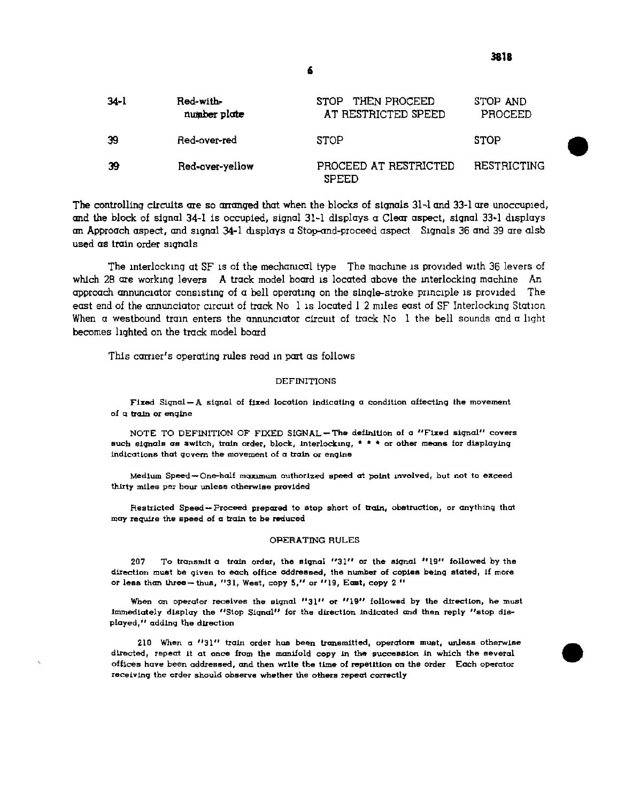3818

| 34-l | Red-with-<br>number plate | STOP THEN PROCEED<br>AT RESTRICTED SPEED | STOP AND<br>PROCEED |
|------|---------------------------|------------------------------------------|---------------------|
| 39   | Red-over-red              | <b>STOP</b>                              | <b>STOP</b>         |
| -39  | Red-over-yellow           | PROCEED AT RESTRICTED<br><b>SPEED</b>    | RESTRICTING         |

The controlling circuits are so arranged that when the blocks of signals 31-1 and 33-1 are unoccupied, **and the block of signal 34-1 is occupied, signal 31-1 displays a Clear aspect, signal 33--1 displays an Approach aspect, and signal 34-1 displays a Stop-and-proceed aspect Signals 36 and 39 are alsb used as train order signals** 

The interlocking at SF is of the mechanical type The machine is provided with 36 levers of **which 28 are working levers A track model board is located above the interlocking machine An approach annunciator consisting of a bell operating on the single-stroke principle is provided The east end of the annunciator circuit of track No 1 is located 1 2 miles east of SF Interlocking Station**  When a westbound train enters the annunciator circuit of track No 1 the bell sounds and a light **becomes lighted on the track model board** 

**This carrier's operating rules read in part as follows** 

#### **DEFINITION S**

Fixed Signal - A signal of fixed location indicating a condition affecting the movement **of a train or engine** 

**NOT E T O DEFINITION O F FIXE D SIGNA L —Th e definition of a "Fixe d signal " cover s indications that govern the movement of a train or engine such signals as Switch, train order, block, interlocking, \* \* \* or other means for displaying** 

**Medium Speed —One-half maximum authorized speed at point involved, but not to exceed thirty mile s per hour unless otherwise provided** 

**Restricted Speed — Proceed prepared to stop short of train, obstruction, or anything that may require the speed of a train to be reduced** 

#### **OPERATING RULES**

**2 0 7 T o transmit a train order, the signal "31 " or the signal "19 " followed by the direction must be given to each office addressed, the number of copie s being stated, if more or less than three—thus, "31 , West, copy 5, " or "19 , East, copy 2 "** 

When an operator receives the signal "31" or "19" followed by the direction, he must **immediately display the "Stop Signal" for the direction indicated and then reply "stop displayed, " adding the direction** 

**21 0 When a "31 " train order has been transmitted, operators must, unless otherwise**  directed, repeat it at once from the manifold copy in the succession in which the several offices have been addressed, and then write the time of repetition on the order Each operator **receiving the order should observe whether the others repeat correctly**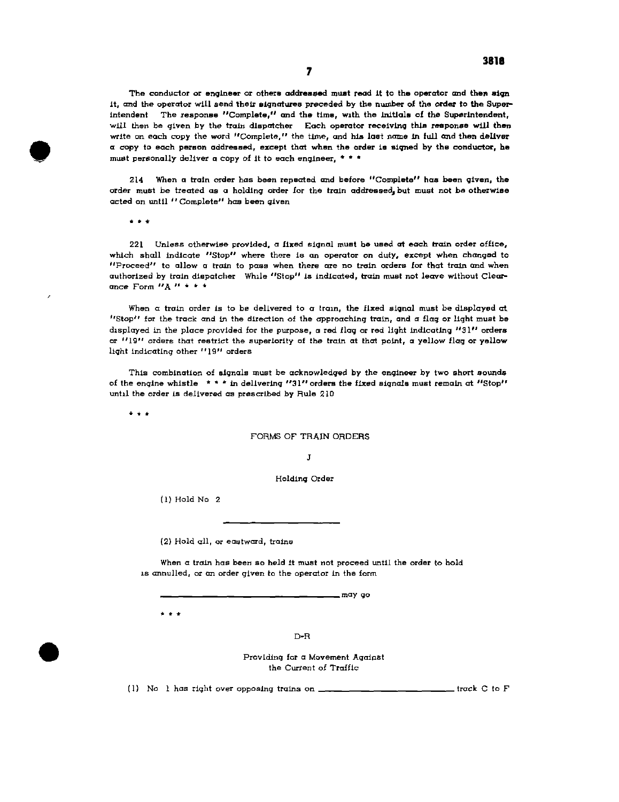**The conductor or engineer or others addressed must read It to the operator and then sign It, and the operator will send their signatures preceded by the number of the order to the Superintendent The response "Complete," and the time, with the initials of the Superintendent, will then be given by the train dispatcher Each operator receiving this response will then write on each copy the word "Complete," the time, and his last name in full and then deliver a copy to each person addressed, except that when the order is signed by the conductor, he must personally deliver a copy of it to each engineer, \* \* \*** 

**214 When a train order has been repeated and before "Complete" has been given, the order must be treated as a holding order for the train addressed, but must not be otherwise acted on until "Complete" has been given** 

**\* \* \*** 

**221 Unless otherwise provided, a fixed signal must he used at each train order office, which shall indicate "Stop" where there is an operator on duty, except when changed to "Proceed" to allow a train to pass when there are no train orders for that train and when authorized by train dispatcher While "Stop" is indicated, train must not leave without Clearance Form "A " \* \* \*** 

When a train order is to be delivered to a train, the fixed signal must be displayed at **"Stop" for the track and in the direction of the approaching train, and a flag or light must be displayed in the place provided for the purpose, a red flag or red light Indicating "31 " orders or "19 " orders that restrict the superiority of the train at that point, a yellow flag or yellow light indicating other "19" orders** 

**This combination of signals must be acknowledged by the engineer by two short sounds of the engine whistle \* \* \* in delivering "31"orders the fixed signals must remain at "Stop" until the order is delivered as prescribed by Rule 210** 

**\* \* \*** 

#### **FORMS OF TRAIN ORDERS**

**J** 

**Holding Order** 

**(1) Hold No 2** 

**(2) Hold all, or eastward, trains** 

**When a train has been so held it must not proceed until the order to hold is annulled, or an order given to the operator in the form** 

**m n <sup>y</sup> go** 

**\* \* +** 

**D-R** 

**Providing for a Movement Against the Current of Traffic** 

(1) No 1 has right over opposing trains on **\_\_\_\_\_\_\_\_\_\_\_\_\_\_\_\_\_\_\_\_\_\_\_\_\_** track C to F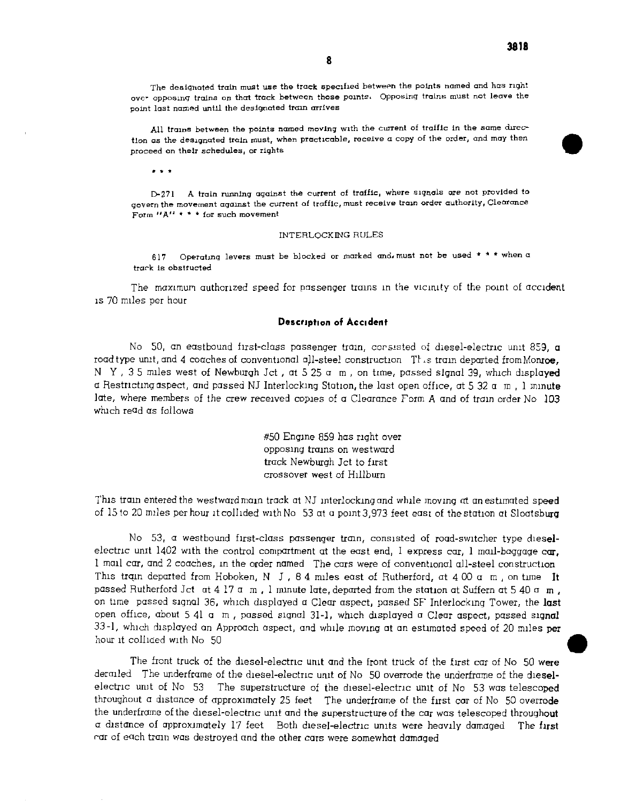**All trains between the points named moving with the current of traffic in the same direction as the designated train must, when practicable, receive a copy of the order, and may then** *A*  proceed on their schedules, or rights

**8** 

*\* \* \** 

**D-271 A train running against the current of traffic, where signals are not provided to govern the movement against the current of traffic, must receive train order authority, Clearance Form "A " \* \* \* for such movement** 

#### **INTERLOCKING RULES**

**617 Operating levers must be blocked or marked and. must not be used \* \* \* when a trark is obstructed** 

The maximum authorized speed for passenger trains in the vicinity of the point of accident is 70 miles per hour

### **Description of Accident**

No 50, an eastbound first-class passenger train, corsisted of diesel-electnc unit 859, a road type unit, and 4 coaches of conventional all-steel construction  $\int$  is train departed from Monroe, N Y , 35 miles west of Newburgh Jct , at 5 25  $\alpha$  m , on time, passed signal 39, which displayed a Restricting aspect, and passed NJ Interlocking Station, the last open office, at **5** 32 a m , 1 minute late, where members of the crew received copies of a Clearance Form A and of train order No 103 which read as follows

> #50 Engine 859 has right over opposing trams on westward track Newburgh Jet to first crossover west of Hillburn

This train entered the westward main track at NJ interlocking and while moving at an estimated speed of 15 to 20 miles per hour it collided with No  $-53$  at a point 3,973 feet east of the station at Sloatsburg

No 53, a westbound first-class passenger train, consisted of road-switcher type dieselelectric unit 1402 with the control compartment at the east end, I express car, I mail-baggage  $c\mathbf{u}$ , 1 mail car, and 2 coaches, in the order named The cars were of conventional all-steel construction This train departed from Hoboken, N J , 84 miles east of Rutherford, at 400  $\alpha$  m, on time It passed Rutherford Jet  $\alpha$ t 4 17  $\alpha$  m, 1 minute late, departed from the station at Suffern at 5 40  $\alpha$  m, on time passed signal 36, which displayed a Clear aspect, passed SF Interlocking Tower, the last open office, about 5 41 a m , passed signal 31-1, which displayed a Clear aspect, passed signal 33-1, which displayed an Approach aspect, and while moving at an estimated speed of 20 miles per hour it colliaed with No 50

The front truck of the diesel-electnc unit and the front truck of the first car of No 50 were derailed The underframe of the diesel-electric unit of No 50 overrode the underframe of the dieselelectnc unit of No 53 The superstructure of the diesel-electnc unit of No 53 was telescoped throughout a distance of approximately 25 feet The underframe of the first car of No 50 overrode the underframe of the diesel-electnc unit and the superstructure of the car was telescoped throughout a distance of approximately 17 feet Both diesel-electnc units were heavily damaged The first rar of each train was destroyed and the other cars were somewhat damaged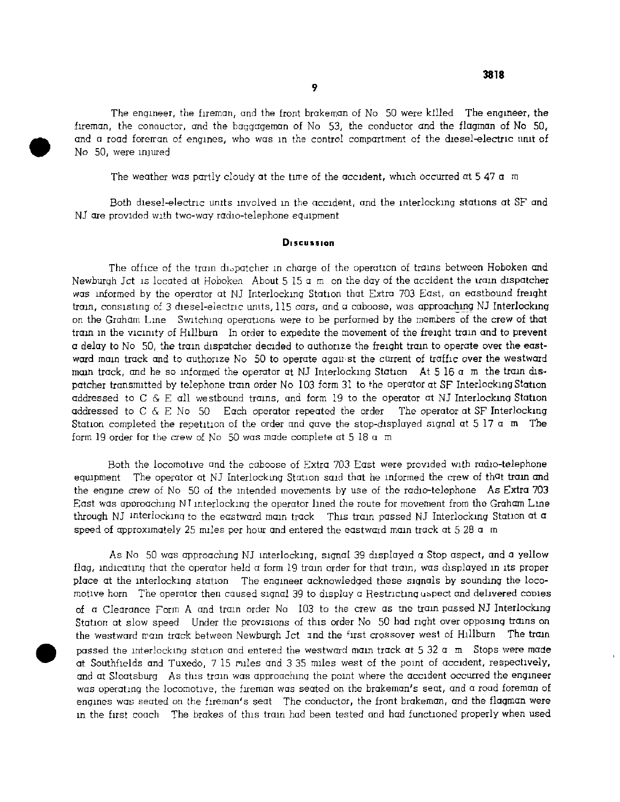**3818** 

The engineer, the fireman, and the front brakeman of No 50 were killed The engineer, the fireman, the conauctor, and the baggageman of No 53, the conductor and the flagman of No 50, and a road foreman of engines, who was in the control compartment of the diesel-electric unit of No 50, were injured

The weather was partly cloudy at the time of the accident, which occurred at  $5\,47$  a m

Both diesel-electric units involved in the accident, and the interlocking stations at SF and NJ are provided with two-way radio-telephone equipment

#### **Discussion**

The office of the train dispatcher m charge of the operation of trams between Hoboken and Newburgh Jot is located at Hoboken About 5 15  $\alpha$  m on the day of the accident the train dispatcher was informed by the operator at NJ Interlocking Station that Extra 703 East, an eastbound freight train, consisting of 3 diesel-electric units, 115 cars, and a caboose, was approaching NJ Interlocking on the Graham Line Switching operations were to be performed by the members of the crew of that tram in the vicinity of Hillburn In order to expedite the movement of the freight train and to prevent a delay to No 50, the train dispatcher decided to authorize the freight train to operate over the eastward main track and to authorize No 50 to operate agamst the current of traffic over the westward main track, and he so informed the operator at NJ Interlocking Station At 5 16 a m the train dispatcher transmitted by telephone train order No 103 form 31 to the operator at SF Interlocking Station addressed to C  $\&$  E all westbound trains, and form 19 to the operator at NJ Interlocking Station addressed to  $C \& E$  No 50 Each operator repeated the order The operator at SF Interlocking Station completed the repetition of the order and gave the stop-displayed signal at  $5\,17\,$  a m The form 19 order for the crew of No 50 was made complete at 5 18 a m

Both the locomotive and the caboose of Extra 703 East were provided with radio-telephone equipment The operator at NJ Interlocking Station said that he informed the crew of that train and the engine crew of No 50 of the intended movements by use of the radio-telephone As Extra 703 East was approaching NT interlocking the operator lined the route for movement from the Graham Line through NJ interlocking to the eastward main track This train passed NJ Interlocking Station at  $\alpha$ speed of approximately 25 miles per hour and entered the eastward main track at 5.28  $\alpha$  m

As No 50 was approaching NJ interlocking, signal 39 displayed a Stop aspect, and a yellow flag, indicating that the operator held  $\alpha$  form 19 train order for that train, was displayed in its proper place at the interlocking station The engineer acknowledged these signals by sounding the loco motive horn The operator then caused signal 39 to display a Restricting uspect and delivered copies of a Clearance Form A and tram order No 103 to the crew as the tram passed NJ Interlocking Station at slow speed Under the provisions of this order No 50 had right over opposing trains on the westward mam track between Newburgh Jct. and the first crossover west of Hillburn . The train passed the interlocking station and entered the westward main track at  $5.32$  a m Stops were made at Southfields and Tuxedo, 7 15 miles and 3 35 miles west of the point of accident, respectively, and at Sloatsburg As this tram was approaching the point where the accident occurred the engineer was operating the locomotive, the fireman was seated on the brakeman's seat, and a road foreman of engines was seated on the fireman's seat The conductor, the front brakeman, and the flagman were in the first coach The brakes of this train had been tested and had functioned properly when used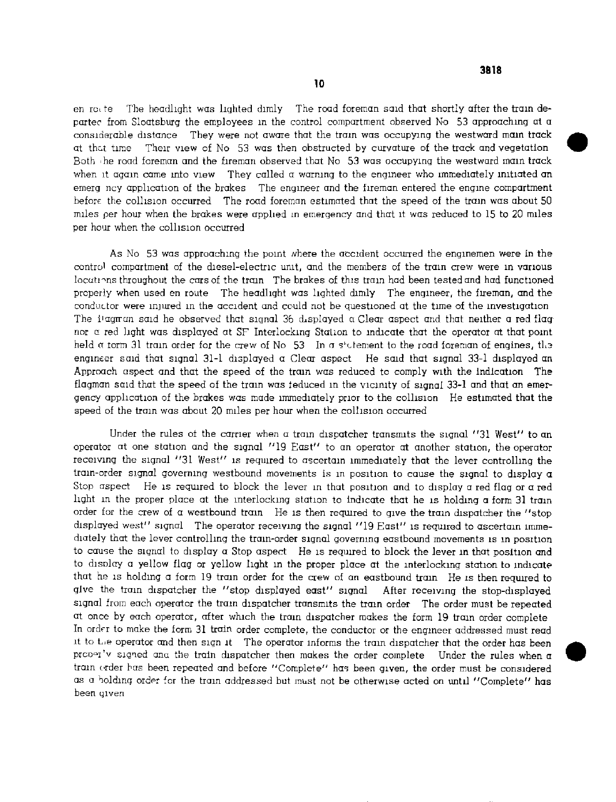en rcite The headlight was lighted dimly The road foreman said that shortly after the train departee from Sloatsburg the employees in the control compartment observed No  $\,$  53 approaching at a considerable distance They were not aware that the tram was occupying the westward main track at that time Their view of No 53 was then obstructed by curvature of the track and vegetation Both the road foreman and the fireman observed that No 53 was occupying the westward main track when it again came into view They called a warning to the engineer who immediately initiated an emerg ncy application of the brakes The engineer and the fireman entered the engine compartment before the collision occurred The road foreman estimated that the speed of the train was about 50 miles per hour when the brakes were applied m emergency and that it was reduced to 15 to 20 miles per hour when the collision occurred

As No 53 was approaching the point where the accident occurred the enginemen were in the control compartment of the diesel-electric unit, and the members of the tram crew were in various locations throughout the cars of the train The brakes of this train had been tested and had functioned properly when used en route The headlight was lighted dimly The engineer, the fireman, and the conductor were injured in the accident and could not be guestioned at the time of the investigation The I'agman said he observed that signal 36 displayed a Clear aspect and that neither a red flag; nor a red light was displayed at SF Interlocking Station to indicate that the operator at that point held  $\alpha$  torm 31 train order for the crew of No 53 In a s'otement to the road foreman of engines, the engineer said that signal 31-1 displayed a Clear aspect He said that signal 33-1 displayed an Approach aspect and that the speed of the train was reduced to comply with the indication The flagman said that the speed of the train was teduced in the vicinity of signal 33-1 and that an emergency application of the brakes was made immediately prior to the collision He estimated that the speed of the train was about 20 miles per hour when the collision occurred

Under the rules ot the carrier when a tram dispatcher transmits the signal "31 West" to an operator at one station and the signal "19 East" to an operator at another station, the operator receiving the signal "31 West" is reguired to ascertain immediately that the lever controlling the train-order signal governing westbound movements is in position to cause the signal to display  $\sigma$ Stop aspect He is reguired to block the lever in that position and to display a red flag or a red light in the proper place at the interlocking station to indicate that he is holding a form 31 train order for the crew of a westbound train He is then reguired to give the train dispatcher the "stop displayed west" signal The operator receiving the signal "19 East" is required to ascertain immediately that the lever controlling the train-order signal governing eastbound movements is in position to cause the signal to display a Stop aspect He is reguired to block the lever in that position and to disolay a yellow flag or yellow light in the proper place at the interlocking station to indicate that he is holding a form 19 train order for the crew of an eastbound train He is then required to give the train dispatcher the "stop displayed east" signal  $\,$  After receiving the stop-displayed signal from each operator the tram dispatcher transmits the tram order The order must be repeated at once by each operator, after which the train dispatcher makes the form 19 train order complete In order to make the form 31 train order complete, the conductor or the engineer addressed must read it to L,e operator and then sign it The operator informs the tram dispatcher that the order has been present a construction and the train dispatcher then makes the order complete. Under the rules when a tram order has been repeated and before "Complete " has been given, the order must be considered as a holding order for the train addressed but must not be otherwise acted on until "Complete" has been given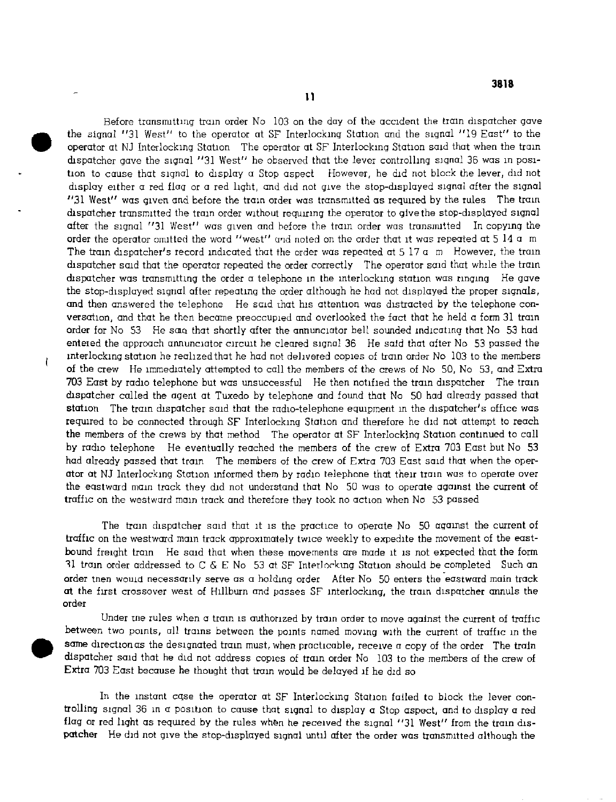Before transmitting tram order No 103 on the day of the accident the tram dispatcher gave the signal "31 West" to the operator at SF Interlocking Station and the signal "19 East" to the operator at NJ Interlocking Station The operator at SF Interlocking Station said that when the train dispatcher gave the signal "31 West" he observed that the lever controlling signal 36 was in position to cause that signal to display a Stop aspect However, he did not block the lever, did not display either a red flag or a red light, and did not give the stop-displayed signal after the signal "31 West" was given and before the train order was transmitted as required by the rules The train dispatcher transmitted the train order without requiring the operator to give the stop-displayed signal after the signal "31 West" was given and before the train order was transmitted In copying the order the operator omitted the word "west" and noted on the order that it was repeated at 5 14 a m The train dispatcher's record indicated that the order was repeated at 5 17 a m However, the train dispatcher said that the operator repeated the order correctly The operator said that while the train dispatcher was transmitting the order a telephone in the interlocking station was ringing He gave the stop-displayed signal after repeating the order although he had not displayed the proper signals, and then answered the telephone He said that his attention was distracted by the telephone conversation, and that he then became preoccupied and overlooked the fact that he held a form 31 train order for No 53 He same that shortly after the annunciator bell sounded indicating that No 53 had entered the approach annunciator circuit he cleared signal 36 He said that after No 53 passed the interlocking station he realized that he had not delivered copies of train order No 103 to the members of the crew He immediately attempted to call the members of the crews of No 50, No 53, and Extra 703 East by radio telephone but was unsuccessful He then notified the train dispatcher The train dispatcher called the agent at Tuxedo by telephone and found that No 50 had already passed that station The tram dispatcher said that the radio-telephone eguipment in the dispatcher's office was required to be connected through SF Interlocking Station and therefore he did not attempt to reach the members of the crews by that method The operator at SF Interlocking Station continued to call by radio telephone He eventually reached the members of the crew of Extra 703 East but No 53 had already passed that tram The members of the crew of Extra 703 East said that when the operator at NJ Interlocking Station informed them by radio telephone that their train was to operate over the eastward main track they did not understand that No 50 was to operate against the current of traffic on the westward mam track and therefore they took no action when No 53 passed

ŧ

The train dispatcher said that it is the practice to operate No 50 against the current of traffic on the westward main track approximately twice weekly to expedite the movement of the eastbound freight train He said that when these movements are made it is not expected that the form 31 train order addressed to C & E No 53 at SF Interlocking Station should be completed Such an order tnen wouia necessarily serve as a holding order After No 50 enters the eastward main track at the first crossover west of Hillburn and passes SF interlocking, the train dispatcher annuls the order

Under ine rules when a tram is authorized by train order to move against the current of traffic between two points, all trains between the points named moving with the current of traffic in the same direction as the designated train must, when practicable, receive a copy of the order The train dispatcher said that he did not address copies of train order No 103 to the members of the crew of Extra 703 East because he thought that train would be delayed if he did so

In the instant cqse the operator at SF Interlocking Station failed to block the lever controlling signal 36 in a position to cause that signal to display a Stop aspect, and to display a red flag or red light as required by the rules when he received the signal "31 West" from the tram dispatcher He did not give the stop-displayed signal until after the order was transmitted although the